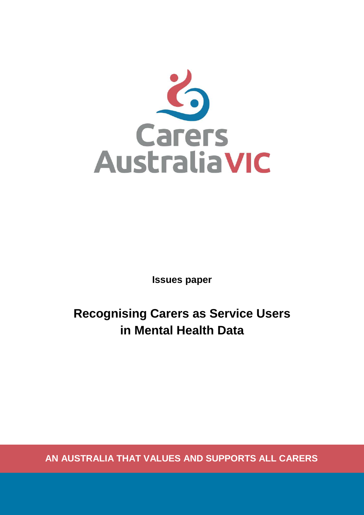

**Issues paper**

**Recognising Carers as Service Users in Mental Health Data**

**AN AUSTRALIA THAT VALUES AND SUPPORTS ALL CARERS**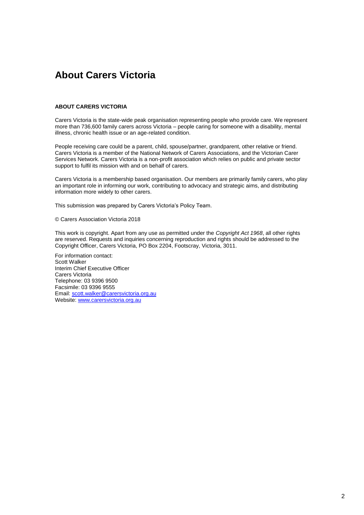#### <span id="page-1-0"></span>**About Carers Victoria**

#### **ABOUT CARERS VICTORIA**

Carers Victoria is the state-wide peak organisation representing people who provide care. We represent more than 736,600 family carers across Victoria – people caring for someone with a disability, mental illness, chronic health issue or an age-related condition.

People receiving care could be a parent, child, spouse/partner, grandparent, other relative or friend. Carers Victoria is a member of the National Network of Carers Associations, and the Victorian Carer Services Network. Carers Victoria is a non-profit association which relies on public and private sector support to fulfil its mission with and on behalf of carers.

Carers Victoria is a membership based organisation. Our members are primarily family carers, who play an important role in informing our work, contributing to advocacy and strategic aims, and distributing information more widely to other carers.

This submission was prepared by Carers Victoria's Policy Team.

© Carers Association Victoria 2018

This work is copyright. Apart from any use as permitted under the *Copyright Act 1968*, all other rights are reserved. Requests and inquiries concerning reproduction and rights should be addressed to the Copyright Officer, Carers Victoria, PO Box 2204, Footscray, Victoria, 3011.

For information contact: Scott Walker Interim Chief Executive Officer Carers Victoria Telephone: 03 9396 9500 Facsimile: 03 9396 9555 Email: [scott.walker@carersvictoria.org.au](mailto:scott.walker@carersvictoria.org.au) Website[: www.carersvictoria.org.au](http://www.carersvictoria.org.au/)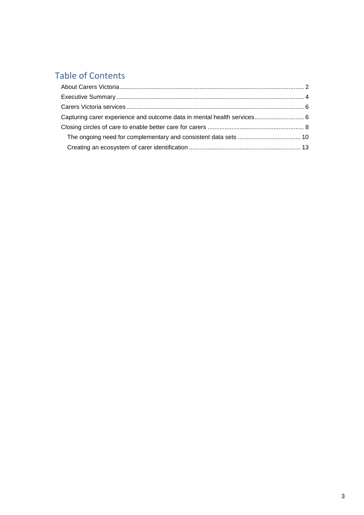## Table of Contents

| Capturing carer experience and outcome data in mental health services 6 |  |
|-------------------------------------------------------------------------|--|
|                                                                         |  |
|                                                                         |  |
|                                                                         |  |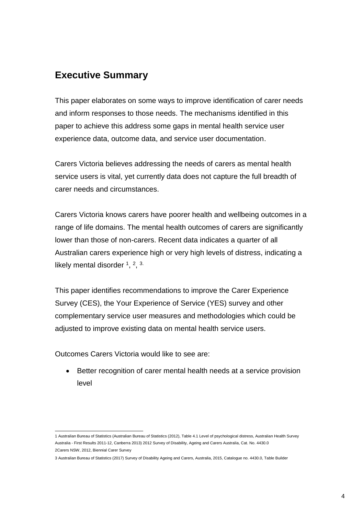#### <span id="page-3-0"></span>**Executive Summary**

This paper elaborates on some ways to improve identification of carer needs and inform responses to those needs. The mechanisms identified in this paper to achieve this address some gaps in mental health service user experience data, outcome data, and service user documentation.

Carers Victoria believes addressing the needs of carers as mental health service users is vital, yet currently data does not capture the full breadth of carer needs and circumstances.

Carers Victoria knows carers have poorer health and wellbeing outcomes in a range of life domains. The mental health outcomes of carers are significantly lower than those of non-carers. Recent data indicates a quarter of all Australian carers experience high or very high levels of distress, indicating a likely mental disorder  $1, 2, 3$ .

This paper identifies recommendations to improve the Carer Experience Survey (CES), the Your Experience of Service (YES) survey and other complementary service user measures and methodologies which could be adjusted to improve existing data on mental health service users.

Outcomes Carers Victoria would like to see are:

Better recognition of carer mental health needs at a service provision level

 1 Australian Bureau of Statistics (Australian Bureau of Statistics (2012), Table 4.1 Level of psychological distress, Australian Health Survey Australia - First Results 2011-12, Canberra 2013) 2012 Survey of Disability, Ageing and Carers Australia, Cat. No. 4430.0 2Carers NSW, 2012, Biennial Carer Survey

<sup>3</sup> Australian Bureau of Statistics (2017) Survey of Disability Ageing and Carers, Australia, 2015, Catalogue no. 4430.0, Table Builder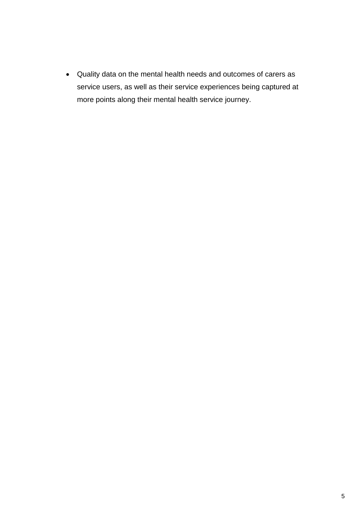• Quality data on the mental health needs and outcomes of carers as service users, as well as their service experiences being captured at more points along their mental health service journey.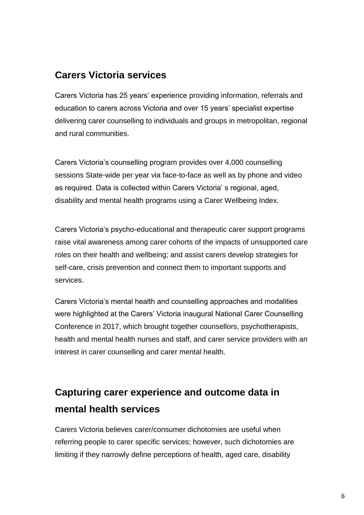### <span id="page-5-0"></span>**Carers Victoria services**

Carers Victoria has 25 years' experience providing information, referrals and education to carers across Victoria and over 15 years' specialist expertise delivering carer counselling to individuals and groups in metropolitan, regional and rural communities.

Carers Victoria's counselling program provides over 4,000 counselling sessions State-wide per year via face-to-face as well as by phone and video as required. Data is collected within Carers Victoria' s regional, aged, disability and mental health programs using a Carer Wellbeing Index.

Carers Victoria's psycho-educational and therapeutic carer support programs raise vital awareness among carer cohorts of the impacts of unsupported care roles on their health and wellbeing; and assist carers develop strategies for self-care, crisis prevention and connect them to important supports and services.

Carers Victoria's mental health and counselling approaches and modalities were highlighted at the Carers' Victoria inaugural National Carer Counselling Conference in 2017, which brought together counsellors, psychotherapists, health and mental health nurses and staff, and carer service providers with an interest in carer counselling and carer mental health.

# <span id="page-5-1"></span>**Capturing carer experience and outcome data in mental health services**

Carers Victoria believes carer/consumer dichotomies are useful when referring people to carer specific services; however, such dichotomies are limiting if they narrowly define perceptions of health, aged care, disability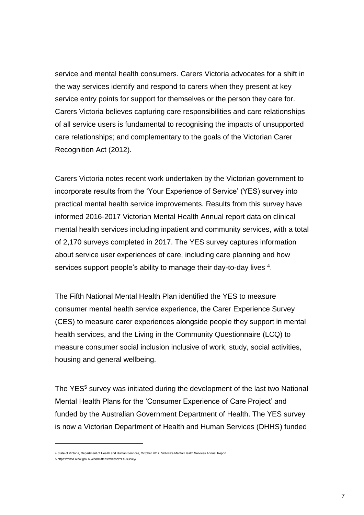service and mental health consumers. Carers Victoria advocates for a shift in the way services identify and respond to carers when they present at key service entry points for support for themselves or the person they care for. Carers Victoria believes capturing care responsibilities and care relationships of all service users is fundamental to recognising the impacts of unsupported care relationships; and complementary to the goals of the Victorian Carer Recognition Act (2012).

Carers Victoria notes recent work undertaken by the Victorian government to incorporate results from the 'Your Experience of Service' (YES) survey into practical mental health service improvements. Results from this survey have informed 2016-2017 Victorian Mental Health Annual report data on clinical mental health services including inpatient and community services, with a total of 2,170 surveys completed in 2017. The YES survey captures information about service user experiences of care, including care planning and how services support people's ability to manage their day-to-day lives <sup>4</sup>.

The Fifth National Mental Health Plan identified the YES to measure consumer mental health service experience, the Carer Experience Survey (CES) to measure carer experiences alongside people they support in mental health services, and the Living in the Community Questionnaire (LCQ) to measure consumer social inclusion inclusive of work, study, social activities, housing and general wellbeing.

The YES<sup>5</sup> survey was initiated during the development of the last two National Mental Health Plans for the 'Consumer Experience of Care Project' and funded by the Australian Government Department of Health. The YES survey is now a Victorian Department of Health and Human Services (DHHS) funded

l

<sup>4</sup> State of Victoria, Department of Health and Human Services, October 2017, Victoria's Mental Health Services Annual Report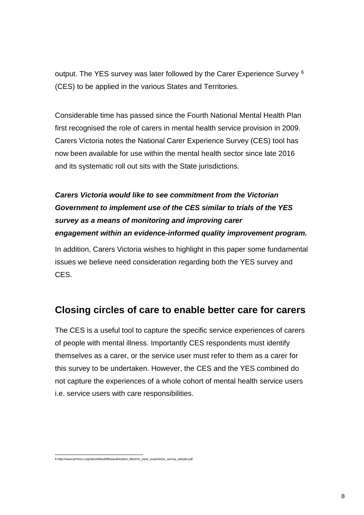output. The YES survey was later followed by the Carer Experience Survey <sup>6</sup> (CES) to be applied in the various States and Territories.

Considerable time has passed since the Fourth National Mental Health Plan first recognised the role of carers in mental health service provision in 2009. Carers Victoria notes the National Carer Experience Survey (CES) tool has now been available for use within the mental health sector since late 2016 and its systematic roll out sits with the State jurisdictions.

## *Carers Victoria would like to see commitment from the Victorian Government to implement use of the CES similar to trials of the YES survey as a means of monitoring and improving carer engagement within an evidence-informed quality improvement program.*

In addition, Carers Victoria wishes to highlight in this paper some fundamental issues we believe need consideration regarding both the YES survey and CES.

## <span id="page-7-0"></span>**Closing circles of care to enable better care for carers**

The CES is a useful tool to capture the specific service experiences of carers of people with mental illness. Importantly CES respondents must identify themselves as a carer, or the service user must refer to them as a carer for this survey to be undertaken. However, the CES and the YES combined do not capture the experiences of a whole cohort of mental health service users i.e. service users with care responsibilities.

 6 [http://www.amhocn.org/sites/default/files/publication\\_files/mh\\_carer\\_experience\\_survey\\_sample.pdf](http://www.amhocn.org/sites/default/files/publication_files/mh_carer_experience_survey_sample.pdf)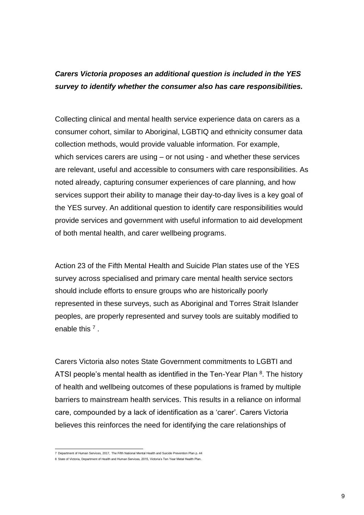#### *Carers Victoria proposes an additional question is included in the YES survey to identify whether the consumer also has care responsibilities.*

Collecting clinical and mental health service experience data on carers as a consumer cohort, similar to Aboriginal, LGBTIQ and ethnicity consumer data collection methods, would provide valuable information. For example, which services carers are using – or not using - and whether these services are relevant, useful and accessible to consumers with care responsibilities. As noted already, capturing consumer experiences of care planning, and how services support their ability to manage their day-to-day lives is a key goal of the YES survey. An additional question to identify care responsibilities would provide services and government with useful information to aid development of both mental health, and carer wellbeing programs.

Action 23 of the Fifth Mental Health and Suicide Plan states use of the YES survey across specialised and primary care mental health service sectors should include efforts to ensure groups who are historically poorly represented in these surveys, such as Aboriginal and Torres Strait Islander peoples, are properly represented and survey tools are suitably modified to enable this <sup>7</sup>.

Carers Victoria also notes State Government commitments to LGBTI and ATSI people's mental health as identified in the Ten-Year Plan <sup>8</sup>. The history of health and wellbeing outcomes of these populations is framed by multiple barriers to mainstream health services. This results in a reliance on informal care, compounded by a lack of identification as a 'carer'. Carers Victoria believes this reinforces the need for identifying the care relationships of

 7 Department of Human Services, 2017, The Fifth National Mental Health and Suicide Prevention Plan p. 44

<sup>8</sup> State of Victoria, Department of Health and Human Services, 2015, Victoria's Ten Year Metal Health Plan.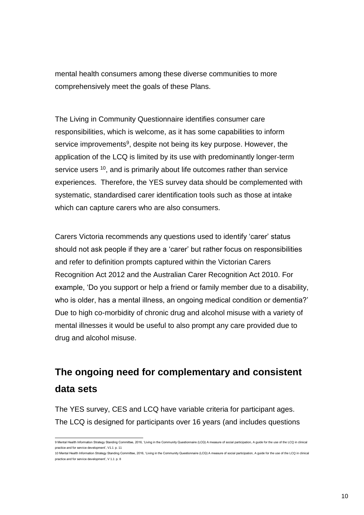mental health consumers among these diverse communities to more comprehensively meet the goals of these Plans.

The Living in Community Questionnaire identifies consumer care responsibilities, which is welcome, as it has some capabilities to inform service improvements<sup>9</sup>, despite not being its key purpose. However, the application of the LCQ is limited by its use with predominantly longer-term service users <sup>10</sup>, and is primarily about life outcomes rather than service experiences. Therefore, the YES survey data should be complemented with systematic, standardised carer identification tools such as those at intake which can capture carers who are also consumers.

Carers Victoria recommends any questions used to identify 'carer' status should not ask people if they are a 'carer' but rather focus on responsibilities and refer to definition prompts captured within the Victorian Carers Recognition Act 2012 and the Australian Carer Recognition Act 2010. For example, 'Do you support or help a friend or family member due to a disability, who is older, has a mental illness, an ongoing medical condition or dementia?' Due to high co-morbidity of chronic drug and alcohol misuse with a variety of mental illnesses it would be useful to also prompt any care provided due to drug and alcohol misuse.

# <span id="page-9-0"></span>**The ongoing need for complementary and consistent data sets**

The YES survey, CES and LCQ have variable criteria for participant ages. The LCQ is designed for participants over 16 years (and includes questions

 9 Mental Health Information Strategy Standing Committee, 2016, 'Living in the Community Questionnaire (LCQ) A measure of social participation, A guide for the use of the LCQ in clinical practice and for service development', V1.1 p. 11

<sup>10</sup> Mental Health Information Strategy Standing Committee, 2016, 'Living in the Community Questionnaire (LCQ) A measure of social participation, A guide for the use of the LCQ in clinical practice and for service development', V 1.1 p. 8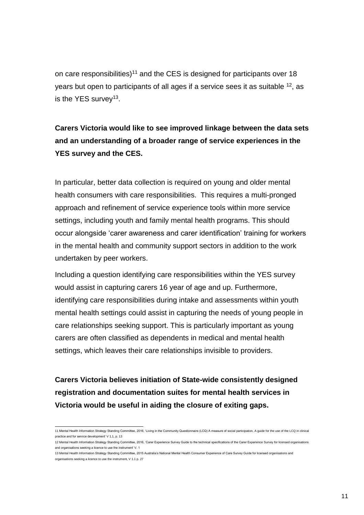on care responsibilities)<sup>11</sup> and the CES is designed for participants over 18 years but open to participants of all ages if a service sees it as suitable <sup>12</sup>, as is the YES survey<sup>13</sup>.

**Carers Victoria would like to see improved linkage between the data sets and an understanding of a broader range of service experiences in the YES survey and the CES.**

In particular, better data collection is required on young and older mental health consumers with care responsibilities. This requires a multi-pronged approach and refinement of service experience tools within more service settings, including youth and family mental health programs. This should occur alongside 'carer awareness and carer identification' training for workers in the mental health and community support sectors in addition to the work undertaken by peer workers.

Including a question identifying care responsibilities within the YES survey would assist in capturing carers 16 year of age and up. Furthermore, identifying care responsibilities during intake and assessments within youth mental health settings could assist in capturing the needs of young people in care relationships seeking support. This is particularly important as young carers are often classified as dependents in medical and mental health settings, which leaves their care relationships invisible to providers.

**Carers Victoria believes initiation of State-wide consistently designed registration and documentation suites for mental health services in Victoria would be useful in aiding the closure of exiting gaps.**

 11 Mental Health Information Strategy Standing Committee, 2016, 'Living in the Community Questionnaire (LCQ) A measure of social participation, A guide for the use of the LCQ in clinical practice and for service development' V 1.1, p. 13

<sup>12</sup> Mental Health Information Strategy Standing Committee, 2016, 'Carer Experience Survey Guide to the technical specifications of the Carer Experience Survey for licensed organisations and organisations seeking a licence to use the instrument' V. 1

<sup>13</sup> Mental Health Information Strategy Standing Committee, 2015 Australia's National Mental Health Consumer Experience of Care Survey Guide for licensed organisations and organisations seeking a licence to use the instrument, V 1.1 p. 27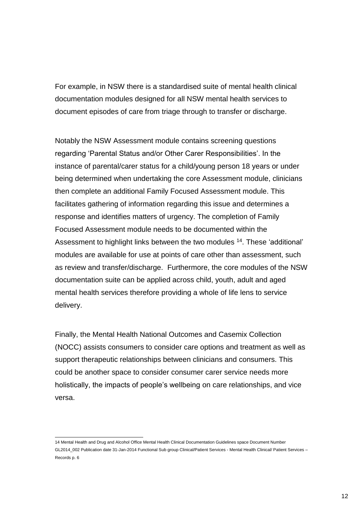For example, in NSW there is a standardised suite of mental health clinical documentation modules designed for all NSW mental health services to document episodes of care from triage through to transfer or discharge.

Notably the NSW Assessment module contains screening questions regarding 'Parental Status and/or Other Carer Responsibilities'. In the instance of parental/carer status for a child/young person 18 years or under being determined when undertaking the core Assessment module, clinicians then complete an additional Family Focused Assessment module. This facilitates gathering of information regarding this issue and determines a response and identifies matters of urgency. The completion of Family Focused Assessment module needs to be documented within the Assessment to highlight links between the two modules <sup>14</sup>. These 'additional' modules are available for use at points of care other than assessment, such as review and transfer/discharge. Furthermore, the core modules of the NSW documentation suite can be applied across child, youth, adult and aged mental health services therefore providing a whole of life lens to service delivery.

Finally, the Mental Health National Outcomes and Casemix Collection (NOCC) assists consumers to consider care options and treatment as well as support therapeutic relationships between clinicians and consumers. This could be another space to consider consumer carer service needs more holistically, the impacts of people's wellbeing on care relationships, and vice versa.

 14 Mental Health and Drug and Alcohol Office Mental Health Clinical Documentation Guidelines space Document Number GL2014\_002 Publication date 31-Jan-2014 Functional Sub group Clinical/Patient Services - Mental Health Clinical/ Patient Services – Records p. 6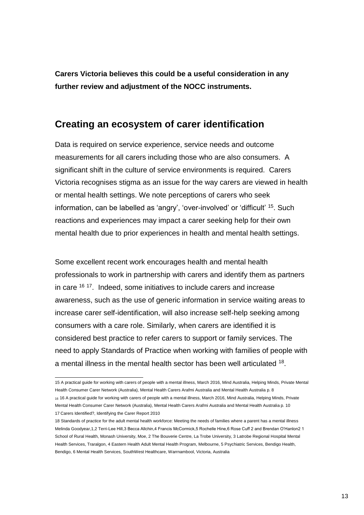**Carers Victoria believes this could be a useful consideration in any further review and adjustment of the NOCC instruments.** 

#### <span id="page-12-0"></span>**Creating an ecosystem of carer identification**

Data is required on service experience, service needs and outcome measurements for all carers including those who are also consumers. A significant shift in the culture of service environments is required. Carers Victoria recognises stigma as an issue for the way carers are viewed in health or mental health settings. We note perceptions of carers who seek information, can be labelled as 'angry', 'over-involved' or 'difficult' <sup>15</sup>. Such reactions and experiences may impact a carer seeking help for their own mental health due to prior experiences in health and mental health settings.

Some excellent recent work encourages health and mental health professionals to work in partnership with carers and identify them as partners in care <sup>16 17</sup>. Indeed, some initiatives to include carers and increase awareness, such as the use of generic information in service waiting areas to increase carer self-identification, will also increase self-help seeking among consumers with a care role. Similarly, when carers are identified it is considered best practice to refer carers to support or family services. The need to apply Standards of Practice when working with families of people with a mental illness in the mental health sector has been well articulated <sup>18</sup>.

<sup>-</sup>15 A practical guide for working with carers of people with a mental illness, March 2016, Mind Australia, Helping Minds, Private Mental Health Consumer Carer Network (Australia), Mental Health Carers Arafmi Australia and Mental Health Australia p. 8

<sup>16</sup> 16 A practical guide for working with carers of people with a mental illness, March 2016, Mind Australia, Helping Minds, Private Mental Health Consumer Carer Network (Australia), Mental Health Carers Arafmi Australia and Mental Health Australia p. 10 17 Carers Identified?, Identifying the Carer Report 2010

<sup>18</sup> Standards of practice for the adult mental health workforce: Meeting the needs of families where a parent has a mental illness Melinda Goodyear,1,2 Terri-Lee Hill,3 Becca Allchin,4 Francis McCormick,5 Rochelle Hine,6 Rose Cuff 2 and Brendan O'Hanlon2 1 School of Rural Health, Monash University, Moe, 2 The Bouverie Centre, La Trobe University, 3 Latrobe Regional Hospital Mental Health Services, Traralgon, 4 Eastern Health Adult Mental Health Program, Melbourne, 5 Psychiatric Services, Bendigo Health, Bendigo, 6 Mental Health Services, SouthWest Healthcare, Warrnambool, Victoria, Australia